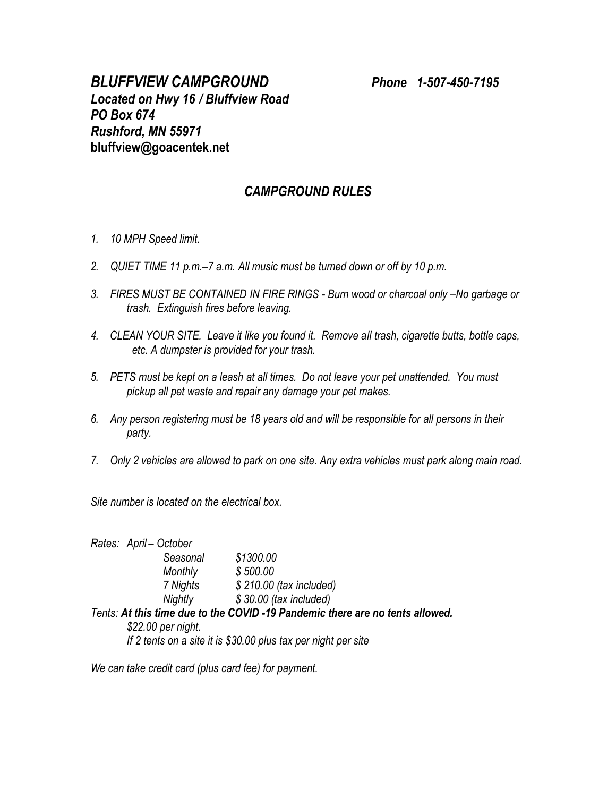## *CAMPGROUND RULES*

- *1. 10 MPH Speed limit.*
- *2. QUIET TIME 11 p.m.–7 a.m. All music must be turned down or off by 10 p.m.*
- *3. FIRES MUST BE CONTAINED IN FIRE RINGS - Burn wood or charcoal only –No garbage or trash. Extinguish fires before leaving.*
- *4. CLEAN YOUR SITE. Leave it like you found it. Remove all trash, cigarette butts, bottle caps, etc. A dumpster is provided for your trash.*
- *5. PETS must be kept on a leash at all times. Do not leave your pet unattended. You must pickup all pet waste and repair any damage your pet makes.*
- *6. Any person registering must be 18 years old and will be responsible for all persons in their party.*
- *7. Only 2 vehicles are allowed to park on one site. Any extra vehicles must park along main road.*

*Site number is located on the electrical box.*

*Rates: April – October Seasonal \$1300.00 Monthly \$ 500.00 7 Nights \$ 210.00 (tax included) Nightly \$ 30.00 (tax included)*

*Tents: At this time due to the COVID -19 Pandemic there are no tents allowed. \$22.00 per night.*

*If 2 tents on a site it is \$30.00 plus tax per night per site*

*We can take credit card (plus card fee) for payment.*